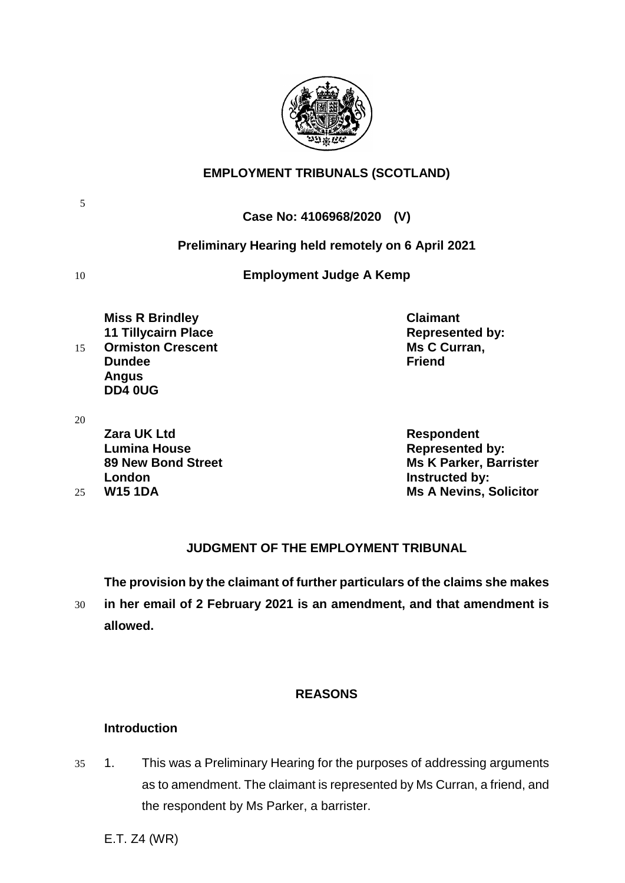

## **EMPLOYMENT TRIBUNALS (SCOTLAND)**

**Case No: 4106968/2020 (V)**

## **Preliminary Hearing held remotely on 6 April 2021**

10 **Employment Judge A Kemp**

**Miss R Brindley Claimant 11 Tillycairn Place Represented by:** 15 **Ormiston Crescent Ms C Curran, Dundee Friend Angus DD4 0UG**

20

5

**Zara UK Ltd Respondent Lumina House Represented by: London Instructed by:**

**89 New Bond Street Ms K Parker, Barrister** 25 **W15 1DA Ms A Nevins, Solicitor**

## **JUDGMENT OF THE EMPLOYMENT TRIBUNAL**

**The provision by the claimant of further particulars of the claims she makes** 

30 **in her email of 2 February 2021 is an amendment, and that amendment is allowed.**

## **REASONS**

## **Introduction**

35 1. This was a Preliminary Hearing for the purposes of addressing arguments as to amendment. The claimant is represented by Ms Curran, a friend, and the respondent by Ms Parker, a barrister.

E.T. Z4 (WR)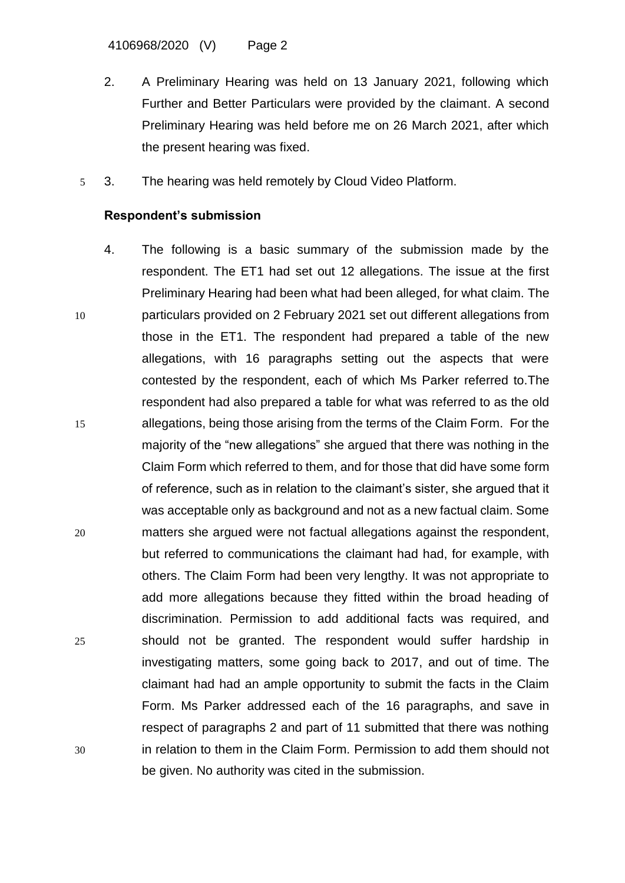4106968/2020 (V) Page 2

- 2. A Preliminary Hearing was held on 13 January 2021, following which Further and Better Particulars were provided by the claimant. A second Preliminary Hearing was held before me on 26 March 2021, after which the present hearing was fixed.
- 5 3. The hearing was held remotely by Cloud Video Platform.

### **Respondent's submission**

4. The following is a basic summary of the submission made by the respondent. The ET1 had set out 12 allegations. The issue at the first Preliminary Hearing had been what had been alleged, for what claim. The 10 particulars provided on 2 February 2021 set out different allegations from those in the ET1. The respondent had prepared a table of the new allegations, with 16 paragraphs setting out the aspects that were contested by the respondent, each of which Ms Parker referred to.The respondent had also prepared a table for what was referred to as the old 15 allegations, being those arising from the terms of the Claim Form. For the majority of the "new allegations" she argued that there was nothing in the Claim Form which referred to them, and for those that did have some form of reference, such as in relation to the claimant's sister, she argued that it was acceptable only as background and not as a new factual claim. Some 20 matters she argued were not factual allegations against the respondent, but referred to communications the claimant had had, for example, with others. The Claim Form had been very lengthy. It was not appropriate to add more allegations because they fitted within the broad heading of discrimination. Permission to add additional facts was required, and 25 should not be granted. The respondent would suffer hardship in investigating matters, some going back to 2017, and out of time. The claimant had had an ample opportunity to submit the facts in the Claim Form. Ms Parker addressed each of the 16 paragraphs, and save in respect of paragraphs 2 and part of 11 submitted that there was nothing 30 in relation to them in the Claim Form. Permission to add them should not be given. No authority was cited in the submission.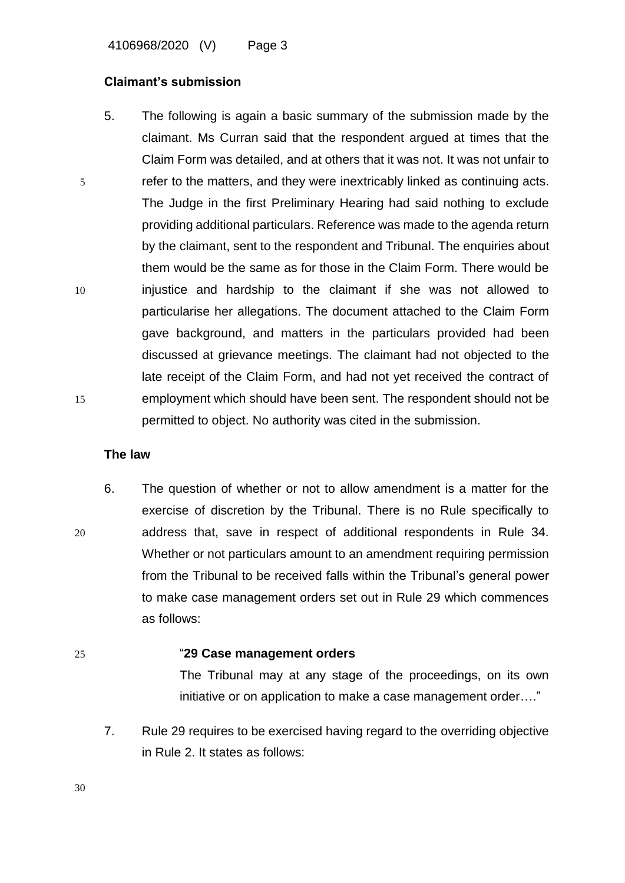4106968/2020 (V) Page 3

### **Claimant's submission**

5. The following is again a basic summary of the submission made by the claimant. Ms Curran said that the respondent argued at times that the Claim Form was detailed, and at others that it was not. It was not unfair to 5 refer to the matters, and they were inextricably linked as continuing acts. The Judge in the first Preliminary Hearing had said nothing to exclude providing additional particulars. Reference was made to the agenda return by the claimant, sent to the respondent and Tribunal. The enquiries about them would be the same as for those in the Claim Form. There would be 10 injustice and hardship to the claimant if she was not allowed to particularise her allegations. The document attached to the Claim Form gave background, and matters in the particulars provided had been discussed at grievance meetings. The claimant had not objected to the late receipt of the Claim Form, and had not yet received the contract of 15 employment which should have been sent. The respondent should not be permitted to object. No authority was cited in the submission.

### **The law**

6. The question of whether or not to allow amendment is a matter for the exercise of discretion by the Tribunal. There is no Rule specifically to 20 address that, save in respect of additional respondents in Rule 34. Whether or not particulars amount to an amendment requiring permission from the Tribunal to be received falls within the Tribunal's general power to make case management orders set out in Rule 29 which commences as follows:

### 25 "**29 Case management orders**

The Tribunal may at any stage of the proceedings, on its own initiative or on application to make a case management order…."

7. Rule 29 requires to be exercised having regard to the overriding objective in Rule 2. It states as follows: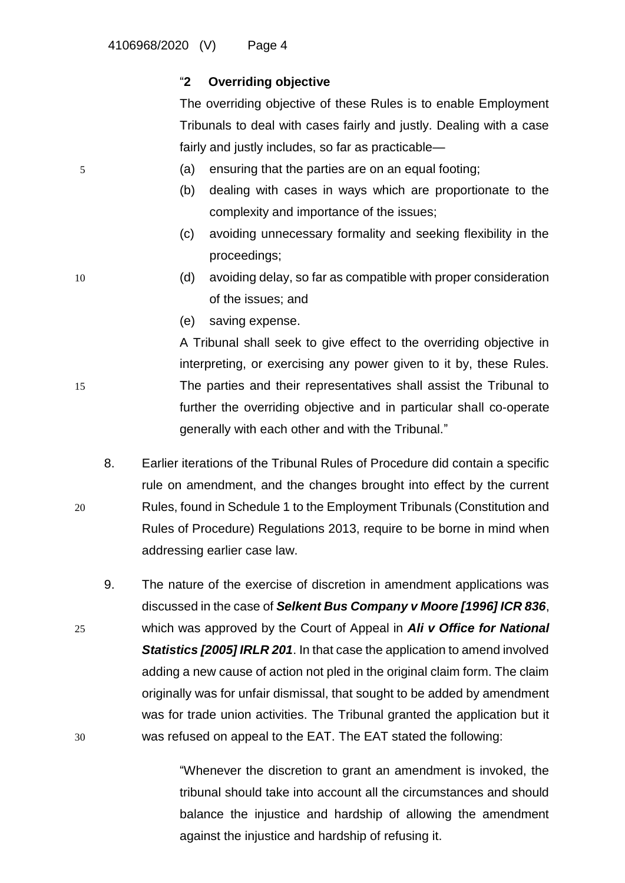## "**2 Overriding objective**

The overriding objective of these Rules is to enable Employment Tribunals to deal with cases fairly and justly. Dealing with a case fairly and justly includes, so far as practicable—

- 5 (a) ensuring that the parties are on an equal footing;
	- (b) dealing with cases in ways which are proportionate to the complexity and importance of the issues;
	- (c) avoiding unnecessary formality and seeking flexibility in the proceedings;
- 10 (d) avoiding delay, so far as compatible with proper consideration of the issues; and
	- (e) saving expense.

A Tribunal shall seek to give effect to the overriding objective in interpreting, or exercising any power given to it by, these Rules. 15 The parties and their representatives shall assist the Tribunal to further the overriding objective and in particular shall co-operate generally with each other and with the Tribunal."

8. Earlier iterations of the Tribunal Rules of Procedure did contain a specific rule on amendment, and the changes brought into effect by the current 20 Rules, found in Schedule 1 to the Employment Tribunals (Constitution and Rules of Procedure) Regulations 2013, require to be borne in mind when addressing earlier case law.

9. The nature of the exercise of discretion in amendment applications was discussed in the case of *Selkent Bus Company v Moore [1996] ICR 836*, 25 which was approved by the Court of Appeal in *Ali v Office for National*  **Statistics [2005] IRLR 201.** In that case the application to amend involved adding a new cause of action not pled in the original claim form. The claim originally was for unfair dismissal, that sought to be added by amendment was for trade union activities. The Tribunal granted the application but it 30 was refused on appeal to the EAT. The EAT stated the following:

> "Whenever the discretion to grant an amendment is invoked, the tribunal should take into account all the circumstances and should balance the injustice and hardship of allowing the amendment against the injustice and hardship of refusing it.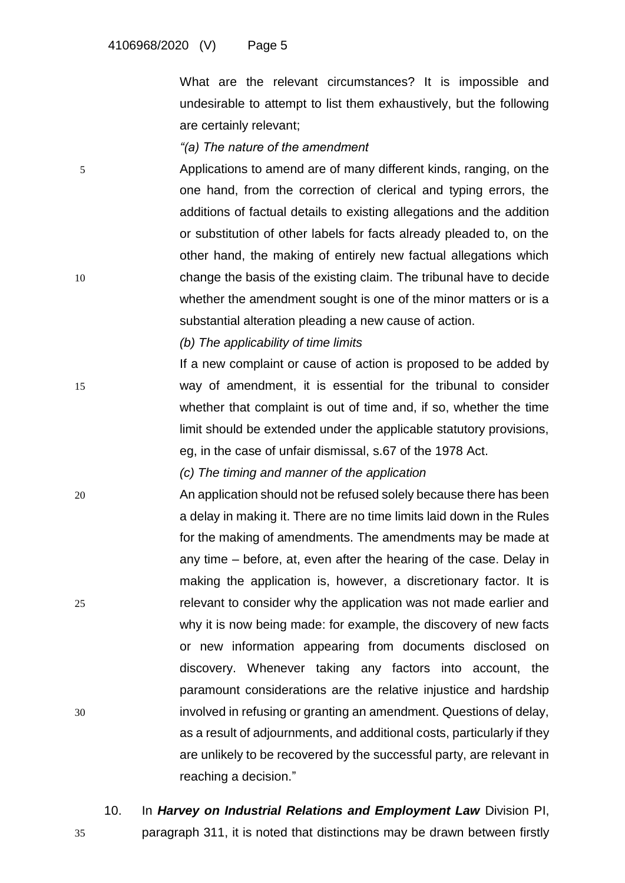What are the relevant circumstances? It is impossible and undesirable to attempt to list them exhaustively, but the following are certainly relevant;

### *"(a) The nature of the amendment*

5 Applications to amend are of many different kinds, ranging, on the one hand, from the correction of clerical and typing errors, the additions of factual details to existing allegations and the addition or substitution of other labels for facts already pleaded to, on the other hand, the making of entirely new factual allegations which 10 change the basis of the existing claim. The tribunal have to decide whether the amendment sought is one of the minor matters or is a substantial alteration pleading a new cause of action.

*(b) The applicability of time limits*

If a new complaint or cause of action is proposed to be added by 15 way of amendment, it is essential for the tribunal to consider whether that complaint is out of time and, if so, whether the time limit should be extended under the applicable statutory provisions, eg, in the case of unfair dismissal, s.67 of the 1978 Act.

*(c) The timing and manner of the application*

- 20 An application should not be refused solely because there has been a delay in making it. There are no time limits laid down in the Rules for the making of amendments. The amendments may be made at any time – before, at, even after the hearing of the case. Delay in making the application is, however, a discretionary factor. It is 25 relevant to consider why the application was not made earlier and why it is now being made: for example, the discovery of new facts or new information appearing from documents disclosed on discovery. Whenever taking any factors into account, the paramount considerations are the relative injustice and hardship 30 involved in refusing or granting an amendment. Questions of delay, as a result of adjournments, and additional costs, particularly if they are unlikely to be recovered by the successful party, are relevant in reaching a decision."
	- 10. In *Harvey on Industrial Relations and Employment Law* Division PI,

35 paragraph 311, it is noted that distinctions may be drawn between firstly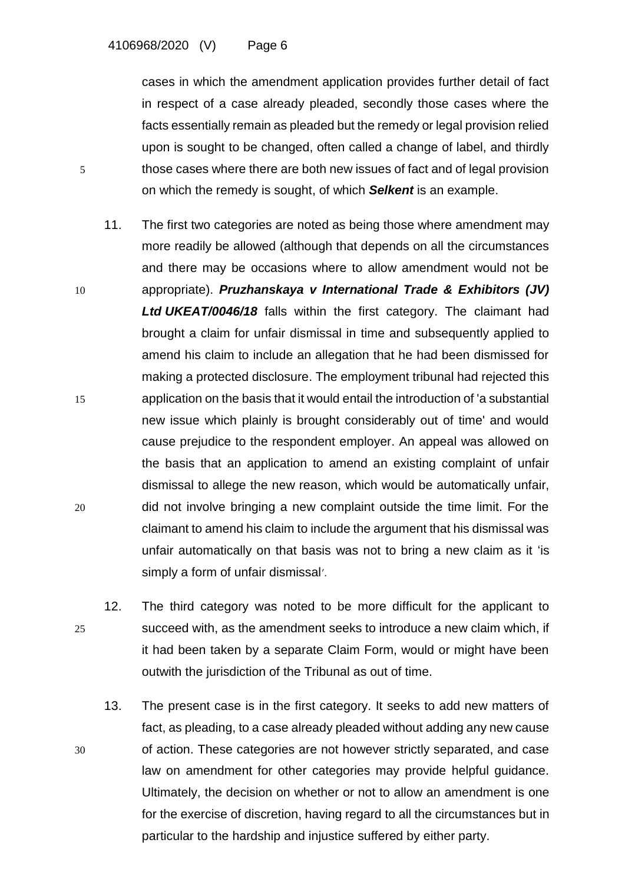cases in which the amendment application provides further detail of fact in respect of a case already pleaded, secondly those cases where the facts essentially remain as pleaded but the remedy or legal provision relied upon is sought to be changed, often called a change of label, and thirdly 5 those cases where there are both new issues of fact and of legal provision on which the remedy is sought, of which *Selkent* is an example.

- 11. The first two categories are noted as being those where amendment may more readily be allowed (although that depends on all the circumstances and there may be occasions where to allow amendment would not be 10 appropriate). *Pruzhanskaya v International Trade & Exhibitors (JV) Ltd UKEAT/0046/18* falls within the first category. The claimant had brought a claim for unfair dismissal in time and subsequently applied to amend his claim to include an allegation that he had been dismissed for making a protected disclosure. The employment tribunal had rejected this 15 application on the basis that it would entail the introduction of 'a substantial new issue which plainly is brought considerably out of time' and would cause prejudice to the respondent employer. An appeal was allowed on the basis that an application to amend an existing complaint of unfair dismissal to allege the new reason, which would be automatically unfair, 20 did not involve bringing a new complaint outside the time limit. For the claimant to amend his claim to include the argument that his dismissal was unfair automatically on that basis was not to bring a new claim as it 'is simply a form of unfair dismissal'.
- 12. The third category was noted to be more difficult for the applicant to 25 succeed with, as the amendment seeks to introduce a new claim which, if it had been taken by a separate Claim Form, would or might have been outwith the jurisdiction of the Tribunal as out of time.
- 13. The present case is in the first category. It seeks to add new matters of fact, as pleading, to a case already pleaded without adding any new cause 30 of action. These categories are not however strictly separated, and case law on amendment for other categories may provide helpful guidance. Ultimately, the decision on whether or not to allow an amendment is one for the exercise of discretion, having regard to all the circumstances but in particular to the hardship and injustice suffered by either party.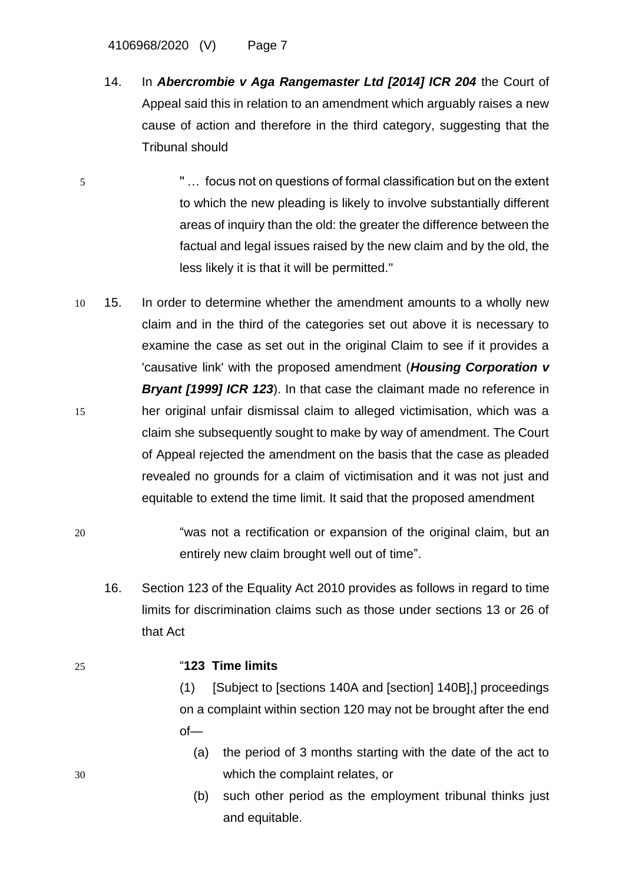4106968/2020 (V) Page 7

- 14. In *Abercrombie v Aga Rangemaster Ltd [2014] ICR 204* the Court of Appeal said this in relation to an amendment which arguably raises a new cause of action and therefore in the third category, suggesting that the Tribunal should
- 5 '' … focus not on questions of formal classification but on the extent to which the new pleading is likely to involve substantially different areas of inquiry than the old: the greater the difference between the factual and legal issues raised by the new claim and by the old, the less likely it is that it will be permitted.''
- 10 15. In order to determine whether the amendment amounts to a wholly new claim and in the third of the categories set out above it is necessary to examine the case as set out in the original Claim to see if it provides a 'causative link' with the proposed amendment (*Housing Corporation v*  **Bryant [1999] ICR 123**). In that case the claimant made no reference in 15 her original unfair dismissal claim to alleged victimisation, which was a claim she subsequently sought to make by way of amendment. The Court of Appeal rejected the amendment on the basis that the case as pleaded revealed no grounds for a claim of victimisation and it was not just and equitable to extend the time limit. It said that the proposed amendment
- 20 "was not a rectification or expansion of the original claim, but an entirely new claim brought well out of time".
	- 16. Section 123 of the Equality Act 2010 provides as follows in regard to time limits for discrimination claims such as those under sections 13 or 26 of that Act
- 

### 25 "**123 Time limits**

(1) [Subject to [sections 140A and [section] 140B],] proceedings on a complaint within section 120 may not be brought after the end of—

- (a) the period of 3 months starting with the date of the act to 30 which the complaint relates, or
	- (b) such other period as the employment tribunal thinks just and equitable.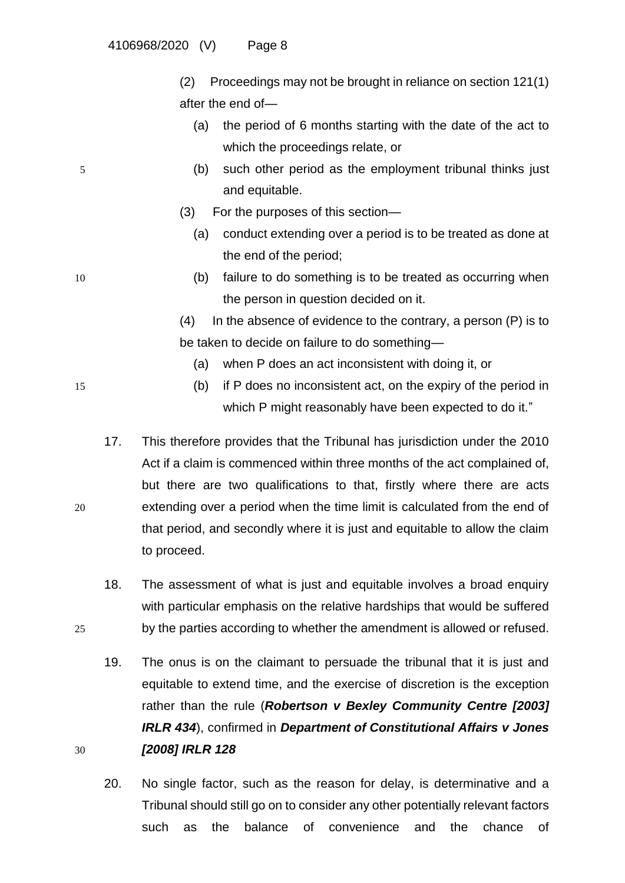(2) Proceedings may not be brought in reliance on section 121(1) after the end of—

- (a) the period of 6 months starting with the date of the act to which the proceedings relate, or
- 5 (b) such other period as the employment tribunal thinks just and equitable.
	- (3) For the purposes of this section—
		- (a) conduct extending over a period is to be treated as done at the end of the period;
- 10 (b) failure to do something is to be treated as occurring when the person in question decided on it.

(4) In the absence of evidence to the contrary, a person (P) is to be taken to decide on failure to do something—

- (a) when P does an act inconsistent with doing it, or
- 15 (b) if P does no inconsistent act, on the expiry of the period in which P might reasonably have been expected to do it."
- 17. This therefore provides that the Tribunal has jurisdiction under the 2010 Act if a claim is commenced within three months of the act complained of, but there are two qualifications to that, firstly where there are acts 20 extending over a period when the time limit is calculated from the end of that period, and secondly where it is just and equitable to allow the claim to proceed.
- 18. The assessment of what is just and equitable involves a broad enquiry with particular emphasis on the relative hardships that would be suffered 25 by the parties according to whether the amendment is allowed or refused.
- 19. The onus is on the claimant to persuade the tribunal that it is just and equitable to extend time, and the exercise of discretion is the exception rather than the rule (*Robertson v Bexley Community Centre [2003] IRLR 434*), confirmed in *Department of Constitutional Affairs v Jones*  30 *[2008] IRLR 128*
	- 20. No single factor, such as the reason for delay, is determinative and a Tribunal should still go on to consider any other potentially relevant factors such as the balance of convenience and the chance of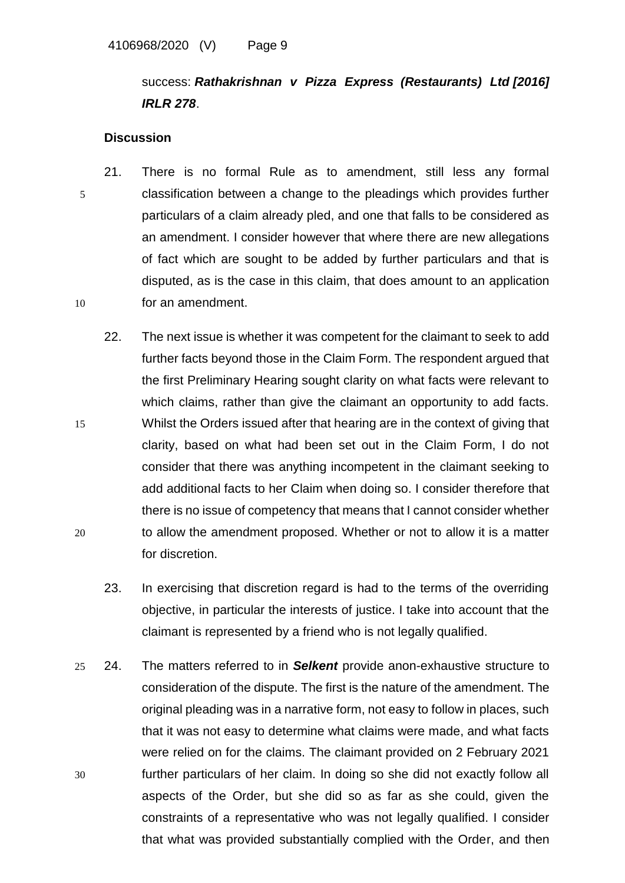# success: *Rathakrishnan v Pizza Express (Restaurants) Ltd [\[2016\]](https://www.lexisnexis.com/uk/legal/search/enhRunRemoteLink.do?linkInfo=F%23GB%23IRLR%23sel1%252016%25year%252016%25page%25278%25&A=0.12408321782491438&backKey=20_T151756285&service=citation&ersKey=23_T151756260&langcountry=GB) [IRLR](https://www.lexisnexis.com/uk/legal/search/enhRunRemoteLink.do?linkInfo=F%23GB%23IRLR%23sel1%252016%25year%252016%25page%25278%25&A=0.12408321782491438&backKey=20_T151756285&service=citation&ersKey=23_T151756260&langcountry=GB) 278*.

### **Discussion**

- 21. There is no formal Rule as to amendment, still less any formal 5 classification between a change to the pleadings which provides further particulars of a claim already pled, and one that falls to be considered as an amendment. I consider however that where there are new allegations of fact which are sought to be added by further particulars and that is disputed, as is the case in this claim, that does amount to an application 10 for an amendment.
- 22. The next issue is whether it was competent for the claimant to seek to add further facts beyond those in the Claim Form. The respondent argued that the first Preliminary Hearing sought clarity on what facts were relevant to which claims, rather than give the claimant an opportunity to add facts. 15 Whilst the Orders issued after that hearing are in the context of giving that clarity, based on what had been set out in the Claim Form, I do not consider that there was anything incompetent in the claimant seeking to add additional facts to her Claim when doing so. I consider therefore that there is no issue of competency that means that I cannot consider whether 20 to allow the amendment proposed. Whether or not to allow it is a matter for discretion.
	- 23. In exercising that discretion regard is had to the terms of the overriding objective, in particular the interests of justice. I take into account that the claimant is represented by a friend who is not legally qualified.
- 25 24. The matters referred to in *Selkent* provide anon-exhaustive structure to consideration of the dispute. The first is the nature of the amendment. The original pleading was in a narrative form, not easy to follow in places, such that it was not easy to determine what claims were made, and what facts were relied on for the claims. The claimant provided on 2 February 2021 30 further particulars of her claim. In doing so she did not exactly follow all aspects of the Order, but she did so as far as she could, given the constraints of a representative who was not legally qualified. I consider that what was provided substantially complied with the Order, and then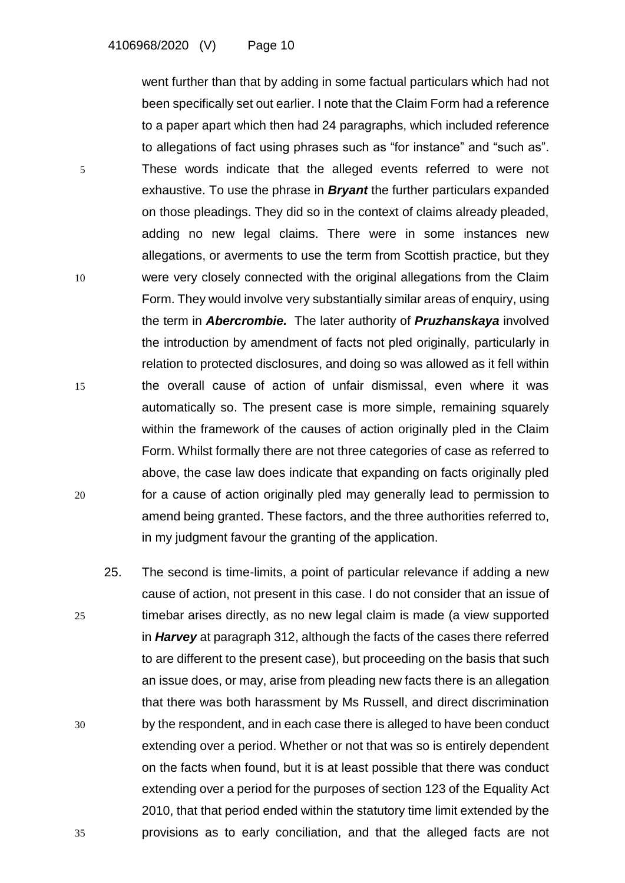went further than that by adding in some factual particulars which had not been specifically set out earlier. I note that the Claim Form had a reference to a paper apart which then had 24 paragraphs, which included reference to allegations of fact using phrases such as "for instance" and "such as". 5 These words indicate that the alleged events referred to were not exhaustive. To use the phrase in *Bryant* the further particulars expanded on those pleadings. They did so in the context of claims already pleaded, adding no new legal claims. There were in some instances new allegations, or averments to use the term from Scottish practice, but they 10 were very closely connected with the original allegations from the Claim Form. They would involve very substantially similar areas of enquiry, using the term in *Abercrombie.* The later authority of *Pruzhanskaya* involved the introduction by amendment of facts not pled originally, particularly in relation to protected disclosures, and doing so was allowed as it fell within 15 the overall cause of action of unfair dismissal, even where it was automatically so. The present case is more simple, remaining squarely within the framework of the causes of action originally pled in the Claim Form. Whilst formally there are not three categories of case as referred to above, the case law does indicate that expanding on facts originally pled 20 for a cause of action originally pled may generally lead to permission to amend being granted. These factors, and the three authorities referred to, in my judgment favour the granting of the application.

25. The second is time-limits, a point of particular relevance if adding a new cause of action, not present in this case. I do not consider that an issue of 25 timebar arises directly, as no new legal claim is made (a view supported in *Harvey* at paragraph 312, although the facts of the cases there referred to are different to the present case), but proceeding on the basis that such an issue does, or may, arise from pleading new facts there is an allegation that there was both harassment by Ms Russell, and direct discrimination 30 by the respondent, and in each case there is alleged to have been conduct extending over a period. Whether or not that was so is entirely dependent on the facts when found, but it is at least possible that there was conduct extending over a period for the purposes of section 123 of the Equality Act 2010, that that period ended within the statutory time limit extended by the 35 provisions as to early conciliation, and that the alleged facts are not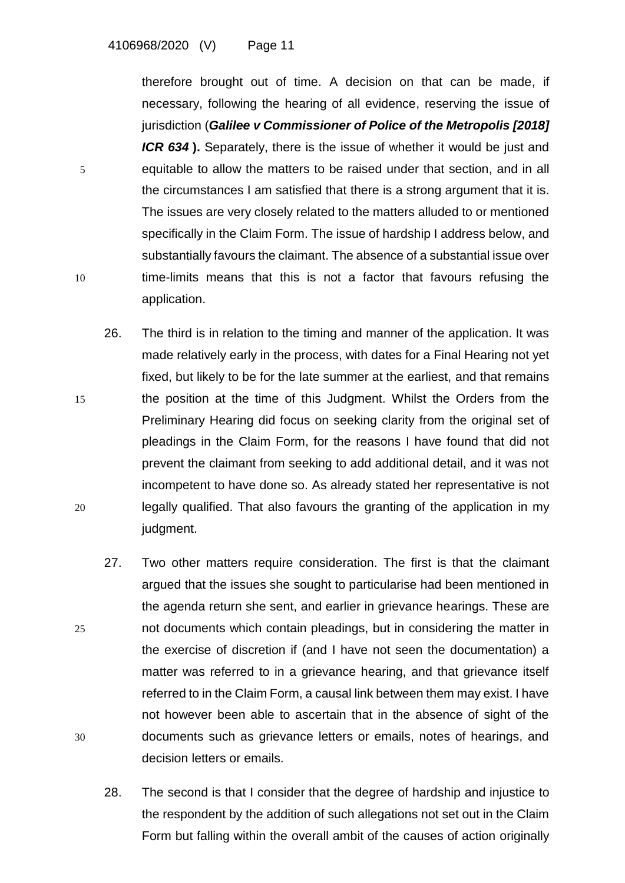therefore brought out of time. A decision on that can be made, if necessary, following the hearing of all evidence, reserving the issue of jurisdiction (*Galilee v Commissioner of Police of the Metropolis [\[2018\]](https://www.lexisnexis.com/uk/legal/search/enhRunRemoteLink.do?linkInfo=F%23GB%23ICR%23sel1%252018%25year%252018%25page%25634%25&A=0.5390955200825794&backKey=20_T189970384&service=citation&ersKey=23_T189959157&langcountry=GB) [ICR](https://www.lexisnexis.com/uk/legal/search/enhRunRemoteLink.do?linkInfo=F%23GB%23ICR%23sel1%252018%25year%252018%25page%25634%25&A=0.5390955200825794&backKey=20_T189970384&service=citation&ersKey=23_T189959157&langcountry=GB) 634* **).** Separately, there is the issue of whether it would be just and 5 equitable to allow the matters to be raised under that section, and in all the circumstances I am satisfied that there is a strong argument that it is. The issues are very closely related to the matters alluded to or mentioned specifically in the Claim Form. The issue of hardship I address below, and substantially favours the claimant. The absence of a substantial issue over 10 time-limits means that this is not a factor that favours refusing the application.

- 26. The third is in relation to the timing and manner of the application. It was made relatively early in the process, with dates for a Final Hearing not yet fixed, but likely to be for the late summer at the earliest, and that remains 15 the position at the time of this Judgment. Whilst the Orders from the Preliminary Hearing did focus on seeking clarity from the original set of pleadings in the Claim Form, for the reasons I have found that did not prevent the claimant from seeking to add additional detail, and it was not incompetent to have done so. As already stated her representative is not 20 legally qualified. That also favours the granting of the application in my judgment.
- 27. Two other matters require consideration. The first is that the claimant argued that the issues she sought to particularise had been mentioned in the agenda return she sent, and earlier in grievance hearings. These are 25 not documents which contain pleadings, but in considering the matter in the exercise of discretion if (and I have not seen the documentation) a matter was referred to in a grievance hearing, and that grievance itself referred to in the Claim Form, a causal link between them may exist. I have not however been able to ascertain that in the absence of sight of the 30 documents such as grievance letters or emails, notes of hearings, and decision letters or emails.
	- 28. The second is that I consider that the degree of hardship and injustice to the respondent by the addition of such allegations not set out in the Claim Form but falling within the overall ambit of the causes of action originally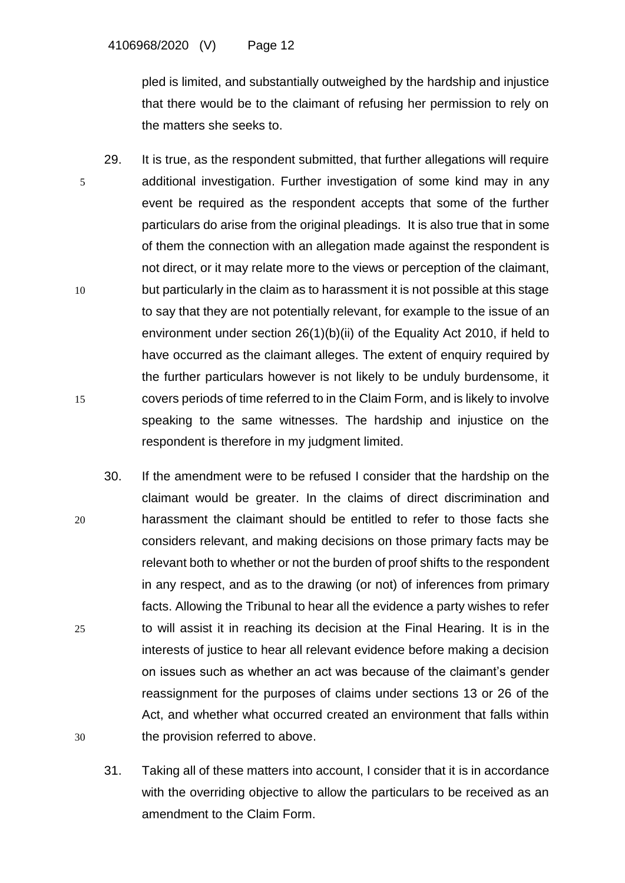pled is limited, and substantially outweighed by the hardship and injustice that there would be to the claimant of refusing her permission to rely on the matters she seeks to.

- 29. It is true, as the respondent submitted, that further allegations will require 5 additional investigation. Further investigation of some kind may in any event be required as the respondent accepts that some of the further particulars do arise from the original pleadings. It is also true that in some of them the connection with an allegation made against the respondent is not direct, or it may relate more to the views or perception of the claimant, 10 but particularly in the claim as to harassment it is not possible at this stage to say that they are not potentially relevant, for example to the issue of an environment under section 26(1)(b)(ii) of the Equality Act 2010, if held to have occurred as the claimant alleges. The extent of enquiry required by the further particulars however is not likely to be unduly burdensome, it 15 covers periods of time referred to in the Claim Form, and is likely to involve speaking to the same witnesses. The hardship and injustice on the respondent is therefore in my judgment limited.
- 30. If the amendment were to be refused I consider that the hardship on the claimant would be greater. In the claims of direct discrimination and 20 harassment the claimant should be entitled to refer to those facts she considers relevant, and making decisions on those primary facts may be relevant both to whether or not the burden of proof shifts to the respondent in any respect, and as to the drawing (or not) of inferences from primary facts. Allowing the Tribunal to hear all the evidence a party wishes to refer 25 to will assist it in reaching its decision at the Final Hearing. It is in the interests of justice to hear all relevant evidence before making a decision on issues such as whether an act was because of the claimant's gender reassignment for the purposes of claims under sections 13 or 26 of the Act, and whether what occurred created an environment that falls within 30 the provision referred to above.
	- 31. Taking all of these matters into account, I consider that it is in accordance with the overriding objective to allow the particulars to be received as an amendment to the Claim Form.